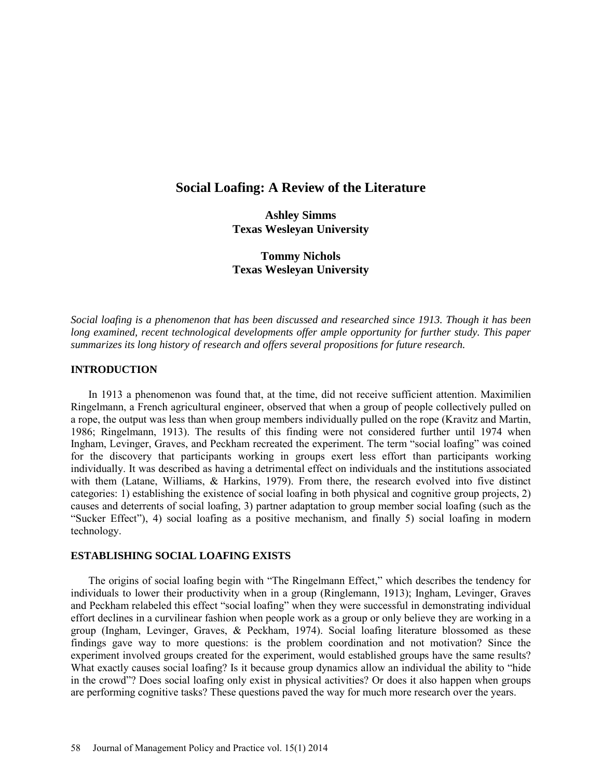# **Social Loafing: A Review of the Literature**

**Ashley Simms Texas Wesleyan University** 

**Tommy Nichols Texas Wesleyan University** 

*Social loafing is a phenomenon that has been discussed and researched since 1913. Though it has been long examined, recent technological developments offer ample opportunity for further study. This paper summarizes its long history of research and offers several propositions for future research.*

# **INTRODUCTION**

In 1913 a phenomenon was found that, at the time, did not receive sufficient attention. Maximilien Ringelmann, a French agricultural engineer, observed that when a group of people collectively pulled on a rope, the output was less than when group members individually pulled on the rope (Kravitz and Martin, 1986; Ringelmann, 1913). The results of this finding were not considered further until 1974 when Ingham, Levinger, Graves, and Peckham recreated the experiment. The term "social loafing" was coined for the discovery that participants working in groups exert less effort than participants working individually. It was described as having a detrimental effect on individuals and the institutions associated with them (Latane, Williams, & Harkins, 1979). From there, the research evolved into five distinct categories: 1) establishing the existence of social loafing in both physical and cognitive group projects, 2) causes and deterrents of social loafing, 3) partner adaptation to group member social loafing (such as the "Sucker Effect"), 4) social loafing as a positive mechanism, and finally 5) social loafing in modern technology.

# **ESTABLISHING SOCIAL LOAFING EXISTS**

The origins of social loafing begin with "The Ringelmann Effect," which describes the tendency for individuals to lower their productivity when in a group (Ringlemann, 1913); Ingham, Levinger, Graves and Peckham relabeled this effect "social loafing" when they were successful in demonstrating individual effort declines in a curvilinear fashion when people work as a group or only believe they are working in a group (Ingham, Levinger, Graves,  $\&$  Peckham, 1974). Social loafing literature blossomed as these findings gave way to more questions: is the problem coordination and not motivation? Since the experiment involved groups created for the experiment, would established groups have the same results? What exactly causes social loafing? Is it because group dynamics allow an individual the ability to "hide" in the crowd"? Does social loafing only exist in physical activities? Or does it also happen when groups are performing cognitive tasks? These questions paved the way for much more research over the years.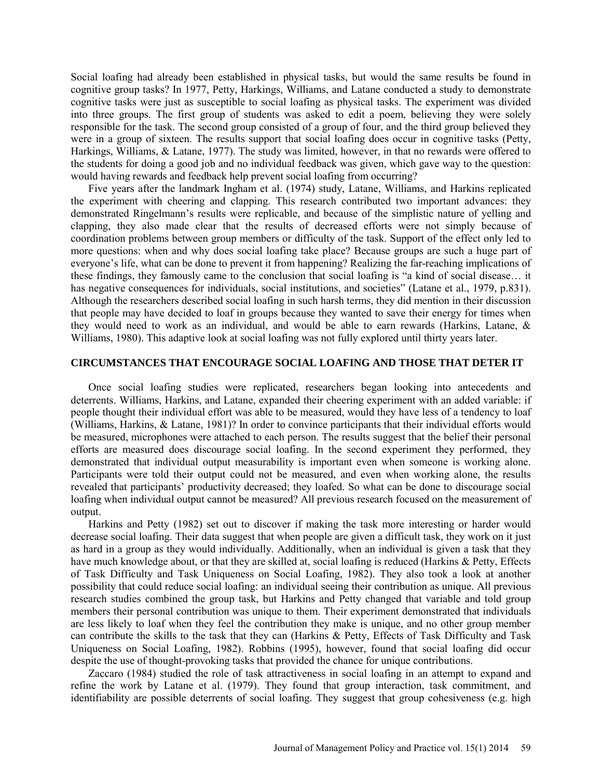Social loafing had already been established in physical tasks, but would the same results be found in cognitive group tasks? In 1977, Petty, Harkings, Williams, and Latane conducted a study to demonstrate cognitive tasks were just as susceptible to social loafing as physical tasks. The experiment was divided into three groups. The first group of students was asked to edit a poem, believing they were solely responsible for the task. The second group consisted of a group of four, and the third group believed they were in a group of sixteen. The results support that social loafing does occur in cognitive tasks (Petty, Harkings, Williams, & Latane, 1977). The study was limited, however, in that no rewards were offered to the students for doing a good job and no individual feedback was given, which gave way to the question: would having rewards and feedback help prevent social loafing from occurring?

Five years after the landmark Ingham et al. (1974) study, Latane, Williams, and Harkins replicated the experiment with cheering and clapping. This research contributed two important advances: they demonstrated Ringelmann's results were replicable, and because of the simplistic nature of yelling and clapping, they also made clear that the results of decreased efforts were not simply because of coordination problems between group members or difficulty of the task. Support of the effect only led to more questions: when and why does social loafing take place? Because groups are such a huge part of everyone's life, what can be done to prevent it from happening? Realizing the far-reaching implications of these findings, they famously came to the conclusion that social loafing is "a kind of social disease… it has negative consequences for individuals, social institutions, and societies" (Latane et al., 1979, p.831). Although the researchers described social loafing in such harsh terms, they did mention in their discussion that people may have decided to loaf in groups because they wanted to save their energy for times when they would need to work as an individual, and would be able to earn rewards (Harkins, Latane, & Williams, 1980). This adaptive look at social loafing was not fully explored until thirty years later.

## **CIRCUMSTANCES THAT ENCOURAGE SOCIAL LOAFING AND THOSE THAT DETER IT**

Once social loafing studies were replicated, researchers began looking into antecedents and deterrents. Williams, Harkins, and Latane, expanded their cheering experiment with an added variable: if people thought their individual effort was able to be measured, would they have less of a tendency to loaf (Williams, Harkins, & Latane, 1981)? In order to convince participants that their individual efforts would be measured, microphones were attached to each person. The results suggest that the belief their personal efforts are measured does discourage social loafing. In the second experiment they performed, they demonstrated that individual output measurability is important even when someone is working alone. Participants were told their output could not be measured, and even when working alone, the results revealed that participants' productivity decreased; they loafed. So what can be done to discourage social loafing when individual output cannot be measured? All previous research focused on the measurement of output.

Harkins and Petty (1982) set out to discover if making the task more interesting or harder would decrease social loafing. Their data suggest that when people are given a difficult task, they work on it just as hard in a group as they would individually. Additionally, when an individual is given a task that they have much knowledge about, or that they are skilled at, social loafing is reduced (Harkins & Petty, Effects of Task Difficulty and Task Uniqueness on Social Loafing, 1982). They also took a look at another possibility that could reduce social loafing: an individual seeing their contribution as unique. All previous research studies combined the group task, but Harkins and Petty changed that variable and told group members their personal contribution was unique to them. Their experiment demonstrated that individuals are less likely to loaf when they feel the contribution they make is unique, and no other group member can contribute the skills to the task that they can (Harkins & Petty, Effects of Task Difficulty and Task Uniqueness on Social Loafing, 1982). Robbins (1995), however, found that social loafing did occur despite the use of thought-provoking tasks that provided the chance for unique contributions.

Zaccaro (1984) studied the role of task attractiveness in social loafing in an attempt to expand and refine the work by Latane et al. (1979). They found that group interaction, task commitment, and identifiability are possible deterrents of social loafing. They suggest that group cohesiveness (e.g. high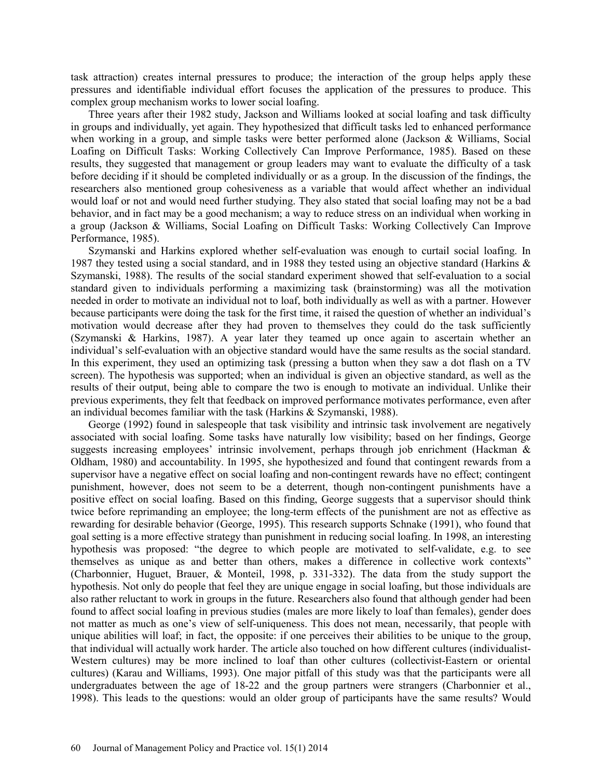task attraction) creates internal pressures to produce; the interaction of the group helps apply these pressures and identifiable individual effort focuses the application of the pressures to produce. This complex group mechanism works to lower social loafing.

Three years after their 1982 study, Jackson and Williams looked at social loafing and task difficulty in groups and individually, yet again. They hypothesized that difficult tasks led to enhanced performance when working in a group, and simple tasks were better performed alone (Jackson & Williams, Social Loafing on Difficult Tasks: Working Collectively Can Improve Performance, 1985). Based on these results, they suggested that management or group leaders may want to evaluate the difficulty of a task before deciding if it should be completed individually or as a group. In the discussion of the findings, the researchers also mentioned group cohesiveness as a variable that would affect whether an individual would loaf or not and would need further studying. They also stated that social loafing may not be a bad behavior, and in fact may be a good mechanism; a way to reduce stress on an individual when working in a group (Jackson & Williams, Social Loafing on Difficult Tasks: Working Collectively Can Improve Performance, 1985).

Szymanski and Harkins explored whether self-evaluation was enough to curtail social loafing. In 1987 they tested using a social standard, and in 1988 they tested using an objective standard (Harkins & Szymanski, 1988). The results of the social standard experiment showed that self-evaluation to a social standard given to individuals performing a maximizing task (brainstorming) was all the motivation needed in order to motivate an individual not to loaf, both individually as well as with a partner. However because participants were doing the task for the first time, it raised the question of whether an individual's motivation would decrease after they had proven to themselves they could do the task sufficiently (Szymanski & Harkins, 1987). A year later they teamed up once again to ascertain whether an individual's self-evaluation with an objective standard would have the same results as the social standard. In this experiment, they used an optimizing task (pressing a button when they saw a dot flash on a TV screen). The hypothesis was supported; when an individual is given an objective standard, as well as the results of their output, being able to compare the two is enough to motivate an individual. Unlike their previous experiments, they felt that feedback on improved performance motivates performance, even after an individual becomes familiar with the task (Harkins & Szymanski, 1988).

George (1992) found in salespeople that task visibility and intrinsic task involvement are negatively associated with social loafing. Some tasks have naturally low visibility; based on her findings, George suggests increasing employees' intrinsic involvement, perhaps through job enrichment (Hackman & Oldham, 1980) and accountability. In 1995, she hypothesized and found that contingent rewards from a supervisor have a negative effect on social loafing and non-contingent rewards have no effect; contingent punishment, however, does not seem to be a deterrent, though non-contingent punishments have a positive effect on social loafing. Based on this finding, George suggests that a supervisor should think twice before reprimanding an employee; the long-term effects of the punishment are not as effective as rewarding for desirable behavior (George, 1995). This research supports Schnake (1991), who found that goal setting is a more effective strategy than punishment in reducing social loafing. In 1998, an interesting hypothesis was proposed: "the degree to which people are motivated to self-validate, e.g. to see themselves as unique as and better than others, makes a difference in collective work contexts" (Charbonnier, Huguet, Brauer, & Monteil, 1998, p. 331-332). The data from the study support the hypothesis. Not only do people that feel they are unique engage in social loafing, but those individuals are also rather reluctant to work in groups in the future. Researchers also found that although gender had been found to affect social loafing in previous studies (males are more likely to loaf than females), gender does not matter as much as one's view of self-uniqueness. This does not mean, necessarily, that people with unique abilities will loaf; in fact, the opposite: if one perceives their abilities to be unique to the group, that individual will actually work harder. The article also touched on how different cultures (individualist-Western cultures) may be more inclined to loaf than other cultures (collectivist-Eastern or oriental cultures) (Karau and Williams, 1993). One major pitfall of this study was that the participants were all undergraduates between the age of 18-22 and the group partners were strangers (Charbonnier et al., 1998). This leads to the questions: would an older group of participants have the same results? Would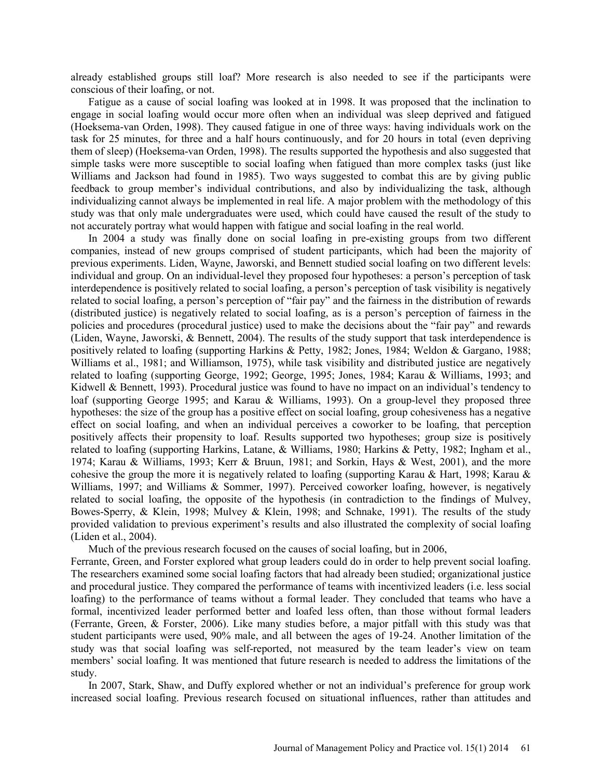already established groups still loaf? More research is also needed to see if the participants were conscious of their loafing, or not.

Fatigue as a cause of social loafing was looked at in 1998. It was proposed that the inclination to engage in social loafing would occur more often when an individual was sleep deprived and fatigued (Hoeksema-van Orden, 1998). They caused fatigue in one of three ways: having individuals work on the task for 25 minutes, for three and a half hours continuously, and for 20 hours in total (even depriving them of sleep) (Hoeksema-van Orden, 1998). The results supported the hypothesis and also suggested that simple tasks were more susceptible to social loafing when fatigued than more complex tasks (just like Williams and Jackson had found in 1985). Two ways suggested to combat this are by giving public feedback to group member's individual contributions, and also by individualizing the task, although individualizing cannot always be implemented in real life. A major problem with the methodology of this study was that only male undergraduates were used, which could have caused the result of the study to not accurately portray what would happen with fatigue and social loafing in the real world.

In 2004 a study was finally done on social loafing in pre-existing groups from two different companies, instead of new groups comprised of student participants, which had been the majority of previous experiments. Liden, Wayne, Jaworski, and Bennett studied social loafing on two different levels: individual and group. On an individual-level they proposed four hypotheses: a person's perception of task interdependence is positively related to social loafing, a person's perception of task visibility is negatively related to social loafing, a person's perception of "fair pay" and the fairness in the distribution of rewards (distributed justice) is negatively related to social loafing, as is a person's perception of fairness in the policies and procedures (procedural justice) used to make the decisions about the "fair pay" and rewards (Liden, Wayne, Jaworski, & Bennett, 2004). The results of the study support that task interdependence is positively related to loafing (supporting Harkins & Petty, 1982; Jones, 1984; Weldon & Gargano, 1988; Williams et al., 1981; and Williamson, 1975), while task visibility and distributed justice are negatively related to loafing (supporting George, 1992; George, 1995; Jones, 1984; Karau & Williams, 1993; and Kidwell & Bennett, 1993). Procedural justice was found to have no impact on an individual's tendency to loaf (supporting George 1995; and Karau & Williams, 1993). On a group-level they proposed three hypotheses: the size of the group has a positive effect on social loafing, group cohesiveness has a negative effect on social loafing, and when an individual perceives a coworker to be loafing, that perception positively affects their propensity to loaf. Results supported two hypotheses; group size is positively related to loafing (supporting Harkins, Latane, & Williams, 1980; Harkins & Petty, 1982; Ingham et al., 1974; Karau & Williams, 1993; Kerr & Bruun, 1981; and Sorkin, Hays & West, 2001), and the more cohesive the group the more it is negatively related to loafing (supporting Karau & Hart, 1998; Karau & Williams, 1997; and Williams & Sommer, 1997). Perceived coworker loafing, however, is negatively related to social loafing, the opposite of the hypothesis (in contradiction to the findings of Mulvey, Bowes-Sperry, & Klein, 1998; Mulvey & Klein, 1998; and Schnake, 1991). The results of the study provided validation to previous experiment's results and also illustrated the complexity of social loafing (Liden et al., 2004).

Much of the previous research focused on the causes of social loafing, but in 2006,

Ferrante, Green, and Forster explored what group leaders could do in order to help prevent social loafing. The researchers examined some social loafing factors that had already been studied; organizational justice and procedural justice. They compared the performance of teams with incentivized leaders (i.e. less social loafing) to the performance of teams without a formal leader. They concluded that teams who have a formal, incentivized leader performed better and loafed less often, than those without formal leaders (Ferrante, Green, & Forster, 2006). Like many studies before, a major pitfall with this study was that student participants were used, 90% male, and all between the ages of 19-24. Another limitation of the study was that social loafing was self-reported, not measured by the team leader's view on team members' social loafing. It was mentioned that future research is needed to address the limitations of the study.

In 2007, Stark, Shaw, and Duffy explored whether or not an individual's preference for group work increased social loafing. Previous research focused on situational influences, rather than attitudes and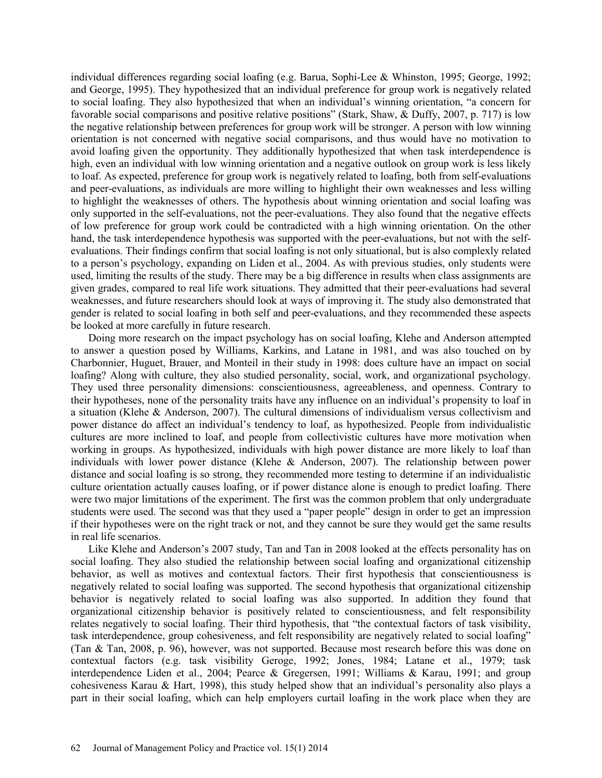individual differences regarding social loafing (e.g. Barua, Sophi-Lee & Whinston, 1995; George, 1992; and George, 1995). They hypothesized that an individual preference for group work is negatively related to social loafing. They also hypothesized that when an individual's winning orientation, "a concern for favorable social comparisons and positive relative positions" (Stark, Shaw, & Duffy, 2007, p. 717) is low the negative relationship between preferences for group work will be stronger. A person with low winning orientation is not concerned with negative social comparisons, and thus would have no motivation to avoid loafing given the opportunity. They additionally hypothesized that when task interdependence is high, even an individual with low winning orientation and a negative outlook on group work is less likely to loaf. As expected, preference for group work is negatively related to loafing, both from self-evaluations and peer-evaluations, as individuals are more willing to highlight their own weaknesses and less willing to highlight the weaknesses of others. The hypothesis about winning orientation and social loafing was only supported in the self-evaluations, not the peer-evaluations. They also found that the negative effects of low preference for group work could be contradicted with a high winning orientation. On the other hand, the task interdependence hypothesis was supported with the peer-evaluations, but not with the selfevaluations. Their findings confirm that social loafing is not only situational, but is also complexly related to a person's psychology, expanding on Liden et al., 2004. As with previous studies, only students were used, limiting the results of the study. There may be a big difference in results when class assignments are given grades, compared to real life work situations. They admitted that their peer-evaluations had several weaknesses, and future researchers should look at ways of improving it. The study also demonstrated that gender is related to social loafing in both self and peer-evaluations, and they recommended these aspects be looked at more carefully in future research.

Doing more research on the impact psychology has on social loafing, Klehe and Anderson attempted to answer a question posed by Williams, Karkins, and Latane in 1981, and was also touched on by Charbonnier, Huguet, Brauer, and Monteil in their study in 1998: does culture have an impact on social loafing? Along with culture, they also studied personality, social, work, and organizational psychology. They used three personality dimensions: conscientiousness, agreeableness, and openness. Contrary to their hypotheses, none of the personality traits have any influence on an individual's propensity to loaf in a situation (Klehe & Anderson, 2007). The cultural dimensions of individualism versus collectivism and power distance do affect an individual's tendency to loaf, as hypothesized. People from individualistic cultures are more inclined to loaf, and people from collectivistic cultures have more motivation when working in groups. As hypothesized, individuals with high power distance are more likely to loaf than individuals with lower power distance (Klehe & Anderson, 2007). The relationship between power distance and social loafing is so strong, they recommended more testing to determine if an individualistic culture orientation actually causes loafing, or if power distance alone is enough to predict loafing. There were two major limitations of the experiment. The first was the common problem that only undergraduate students were used. The second was that they used a "paper people" design in order to get an impression if their hypotheses were on the right track or not, and they cannot be sure they would get the same results in real life scenarios.

Like Klehe and Anderson's 2007 study, Tan and Tan in 2008 looked at the effects personality has on social loafing. They also studied the relationship between social loafing and organizational citizenship behavior, as well as motives and contextual factors. Their first hypothesis that conscientiousness is negatively related to social loafing was supported. The second hypothesis that organizational citizenship behavior is negatively related to social loafing was also supported. In addition they found that organizational citizenship behavior is positively related to conscientiousness, and felt responsibility relates negatively to social loafing. Their third hypothesis, that "the contextual factors of task visibility, task interdependence, group cohesiveness, and felt responsibility are negatively related to social loafing" (Tan & Tan, 2008, p. 96), however, was not supported. Because most research before this was done on contextual factors (e.g. task visibility Geroge, 1992; Jones, 1984; Latane et al., 1979; task interdependence Liden et al., 2004; Pearce & Gregersen, 1991; Williams & Karau, 1991; and group cohesiveness Karau & Hart, 1998), this study helped show that an individual's personality also plays a part in their social loafing, which can help employers curtail loafing in the work place when they are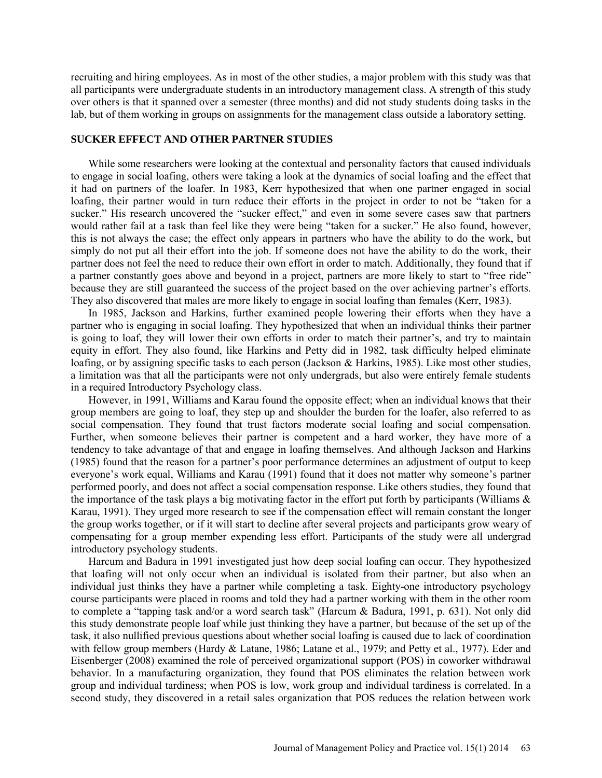recruiting and hiring employees. As in most of the other studies, a major problem with this study was that all participants were undergraduate students in an introductory management class. A strength of this study over others is that it spanned over a semester (three months) and did not study students doing tasks in the lab, but of them working in groups on assignments for the management class outside a laboratory setting.

## **SUCKER EFFECT AND OTHER PARTNER STUDIES**

While some researchers were looking at the contextual and personality factors that caused individuals to engage in social loafing, others were taking a look at the dynamics of social loafing and the effect that it had on partners of the loafer. In 1983, Kerr hypothesized that when one partner engaged in social loafing, their partner would in turn reduce their efforts in the project in order to not be "taken for a sucker." His research uncovered the "sucker effect," and even in some severe cases saw that partners would rather fail at a task than feel like they were being "taken for a sucker." He also found, however, this is not always the case; the effect only appears in partners who have the ability to do the work, but simply do not put all their effort into the job. If someone does not have the ability to do the work, their partner does not feel the need to reduce their own effort in order to match. Additionally, they found that if a partner constantly goes above and beyond in a project, partners are more likely to start to "free ride" because they are still guaranteed the success of the project based on the over achieving partner's efforts. They also discovered that males are more likely to engage in social loafing than females (Kerr, 1983).

In 1985, Jackson and Harkins, further examined people lowering their efforts when they have a partner who is engaging in social loafing. They hypothesized that when an individual thinks their partner is going to loaf, they will lower their own efforts in order to match their partner's, and try to maintain equity in effort. They also found, like Harkins and Petty did in 1982, task difficulty helped eliminate loafing, or by assigning specific tasks to each person (Jackson & Harkins, 1985). Like most other studies, a limitation was that all the participants were not only undergrads, but also were entirely female students in a required Introductory Psychology class.

However, in 1991, Williams and Karau found the opposite effect; when an individual knows that their group members are going to loaf, they step up and shoulder the burden for the loafer, also referred to as social compensation. They found that trust factors moderate social loafing and social compensation. Further, when someone believes their partner is competent and a hard worker, they have more of a tendency to take advantage of that and engage in loafing themselves. And although Jackson and Harkins (1985) found that the reason for a partner's poor performance determines an adjustment of output to keep everyone's work equal, Williams and Karau (1991) found that it does not matter why someone's partner performed poorly, and does not affect a social compensation response. Like others studies, they found that the importance of the task plays a big motivating factor in the effort put forth by participants (Williams & Karau, 1991). They urged more research to see if the compensation effect will remain constant the longer the group works together, or if it will start to decline after several projects and participants grow weary of compensating for a group member expending less effort. Participants of the study were all undergrad introductory psychology students.

Harcum and Badura in 1991 investigated just how deep social loafing can occur. They hypothesized that loafing will not only occur when an individual is isolated from their partner, but also when an individual just thinks they have a partner while completing a task. Eighty-one introductory psychology course participants were placed in rooms and told they had a partner working with them in the other room to complete a "tapping task and/or a word search task" (Harcum & Badura, 1991, p. 631). Not only did this study demonstrate people loaf while just thinking they have a partner, but because of the set up of the task, it also nullified previous questions about whether social loafing is caused due to lack of coordination with fellow group members (Hardy & Latane, 1986; Latane et al., 1979; and Petty et al., 1977). Eder and Eisenberger (2008) examined the role of perceived organizational support (POS) in coworker withdrawal behavior. In a manufacturing organization, they found that POS eliminates the relation between work group and individual tardiness; when POS is low, work group and individual tardiness is correlated. In a second study, they discovered in a retail sales organization that POS reduces the relation between work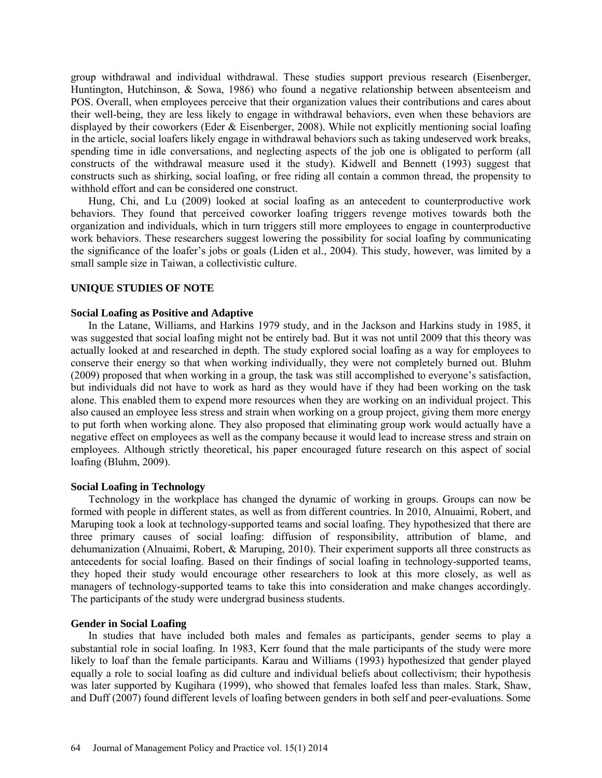group withdrawal and individual withdrawal. These studies support previous research (Eisenberger, Huntington, Hutchinson, & Sowa, 1986) who found a negative relationship between absenteeism and POS. Overall, when employees perceive that their organization values their contributions and cares about their well-being, they are less likely to engage in withdrawal behaviors, even when these behaviors are displayed by their coworkers (Eder & Eisenberger, 2008). While not explicitly mentioning social loafing in the article, social loafers likely engage in withdrawal behaviors such as taking undeserved work breaks, spending time in idle conversations, and neglecting aspects of the job one is obligated to perform (all constructs of the withdrawal measure used it the study). Kidwell and Bennett (1993) suggest that constructs such as shirking, social loafing, or free riding all contain a common thread, the propensity to withhold effort and can be considered one construct.

Hung, Chi, and Lu (2009) looked at social loafing as an antecedent to counterproductive work behaviors. They found that perceived coworker loafing triggers revenge motives towards both the organization and individuals, which in turn triggers still more employees to engage in counterproductive work behaviors. These researchers suggest lowering the possibility for social loafing by communicating the significance of the loafer's jobs or goals (Liden et al., 2004). This study, however, was limited by a small sample size in Taiwan, a collectivistic culture.

## **UNIQUE STUDIES OF NOTE**

#### **Social Loafing as Positive and Adaptive**

In the Latane, Williams, and Harkins 1979 study, and in the Jackson and Harkins study in 1985, it was suggested that social loafing might not be entirely bad. But it was not until 2009 that this theory was actually looked at and researched in depth. The study explored social loafing as a way for employees to conserve their energy so that when working individually, they were not completely burned out. Bluhm (2009) proposed that when working in a group, the task was still accomplished to everyone's satisfaction, but individuals did not have to work as hard as they would have if they had been working on the task alone. This enabled them to expend more resources when they are working on an individual project. This also caused an employee less stress and strain when working on a group project, giving them more energy to put forth when working alone. They also proposed that eliminating group work would actually have a negative effect on employees as well as the company because it would lead to increase stress and strain on employees. Although strictly theoretical, his paper encouraged future research on this aspect of social loafing (Bluhm, 2009).

#### **Social Loafing in Technology**

Technology in the workplace has changed the dynamic of working in groups. Groups can now be formed with people in different states, as well as from different countries. In 2010, Alnuaimi, Robert, and Maruping took a look at technology-supported teams and social loafing. They hypothesized that there are three primary causes of social loafing: diffusion of responsibility, attribution of blame, and dehumanization (Alnuaimi, Robert, & Maruping, 2010). Their experiment supports all three constructs as antecedents for social loafing. Based on their findings of social loafing in technology-supported teams, they hoped their study would encourage other researchers to look at this more closely, as well as managers of technology-supported teams to take this into consideration and make changes accordingly. The participants of the study were undergrad business students.

#### **Gender in Social Loafing**

In studies that have included both males and females as participants, gender seems to play a substantial role in social loafing. In 1983, Kerr found that the male participants of the study were more likely to loaf than the female participants. Karau and Williams (1993) hypothesized that gender played equally a role to social loafing as did culture and individual beliefs about collectivism; their hypothesis was later supported by Kugihara (1999), who showed that females loafed less than males. Stark, Shaw, and Duff (2007) found different levels of loafing between genders in both self and peer-evaluations. Some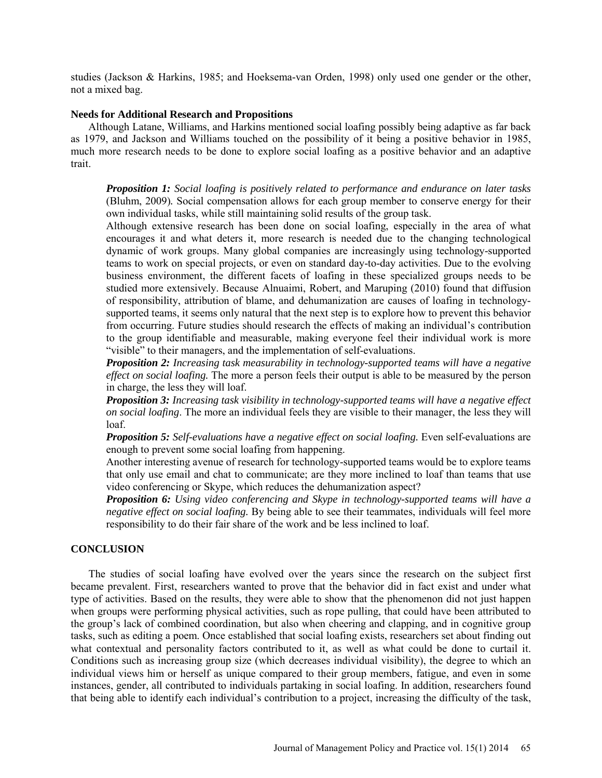studies (Jackson & Harkins, 1985; and Hoeksema-van Orden, 1998) only used one gender or the other, not a mixed bag.

#### **Needs for Additional Research and Propositions**

Although Latane, Williams, and Harkins mentioned social loafing possibly being adaptive as far back as 1979, and Jackson and Williams touched on the possibility of it being a positive behavior in 1985, much more research needs to be done to explore social loafing as a positive behavior and an adaptive trait.

*Proposition 1: Social loafing is positively related to performance and endurance on later tasks*  (Bluhm, 2009)*.* Social compensation allows for each group member to conserve energy for their own individual tasks, while still maintaining solid results of the group task.

Although extensive research has been done on social loafing, especially in the area of what encourages it and what deters it, more research is needed due to the changing technological dynamic of work groups. Many global companies are increasingly using technology-supported teams to work on special projects, or even on standard day-to-day activities. Due to the evolving business environment, the different facets of loafing in these specialized groups needs to be studied more extensively. Because Alnuaimi, Robert, and Maruping (2010) found that diffusion of responsibility, attribution of blame, and dehumanization are causes of loafing in technologysupported teams, it seems only natural that the next step is to explore how to prevent this behavior from occurring. Future studies should research the effects of making an individual's contribution to the group identifiable and measurable, making everyone feel their individual work is more "visible" to their managers, and the implementation of self-evaluations.

*Proposition 2: Increasing task measurability in technology-supported teams will have a negative effect on social loafing.* The more a person feels their output is able to be measured by the person in charge, the less they will loaf.

*Proposition 3: Increasing task visibility in technology-supported teams will have a negative effect on social loafing*. The more an individual feels they are visible to their manager, the less they will loaf.

*Proposition 5: Self-evaluations have a negative effect on social loafing.* Even self-evaluations are enough to prevent some social loafing from happening.

Another interesting avenue of research for technology-supported teams would be to explore teams that only use email and chat to communicate; are they more inclined to loaf than teams that use video conferencing or Skype, which reduces the dehumanization aspect?

*Proposition 6: Using video conferencing and Skype in technology-supported teams will have a negative effect on social loafing.* By being able to see their teammates, individuals will feel more responsibility to do their fair share of the work and be less inclined to loaf.

#### **CONCLUSION**

The studies of social loafing have evolved over the years since the research on the subject first became prevalent. First, researchers wanted to prove that the behavior did in fact exist and under what type of activities. Based on the results, they were able to show that the phenomenon did not just happen when groups were performing physical activities, such as rope pulling, that could have been attributed to the group's lack of combined coordination, but also when cheering and clapping, and in cognitive group tasks, such as editing a poem. Once established that social loafing exists, researchers set about finding out what contextual and personality factors contributed to it, as well as what could be done to curtail it. Conditions such as increasing group size (which decreases individual visibility), the degree to which an individual views him or herself as unique compared to their group members, fatigue, and even in some instances, gender, all contributed to individuals partaking in social loafing. In addition, researchers found that being able to identify each individual's contribution to a project, increasing the difficulty of the task,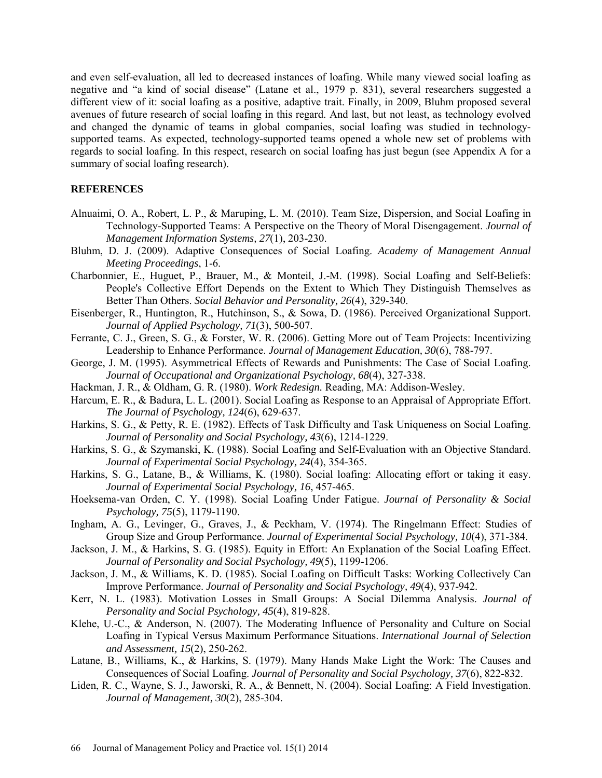and even self-evaluation, all led to decreased instances of loafing. While many viewed social loafing as negative and "a kind of social disease" (Latane et al., 1979 p. 831), several researchers suggested a different view of it: social loafing as a positive, adaptive trait. Finally, in 2009, Bluhm proposed several avenues of future research of social loafing in this regard. And last, but not least, as technology evolved and changed the dynamic of teams in global companies, social loafing was studied in technologysupported teams. As expected, technology-supported teams opened a whole new set of problems with regards to social loafing. In this respect, research on social loafing has just begun (see Appendix A for a summary of social loafing research).

## **REFERENCES**

- Alnuaimi, O. A., Robert, L. P., & Maruping, L. M. (2010). Team Size, Dispersion, and Social Loafing in Technology-Supported Teams: A Perspective on the Theory of Moral Disengagement. *Journal of Management Information Systems, 27*(1), 203-230.
- Bluhm, D. J. (2009). Adaptive Consequences of Social Loafing. *Academy of Management Annual Meeting Proceedings*, 1-6.
- Charbonnier, E., Huguet, P., Brauer, M., & Monteil, J.-M. (1998). Social Loafing and Self-Beliefs: People's Collective Effort Depends on the Extent to Which They Distinguish Themselves as Better Than Others. *Social Behavior and Personality, 26*(4), 329-340.
- Eisenberger, R., Huntington, R., Hutchinson, S., & Sowa, D. (1986). Perceived Organizational Support. *Journal of Applied Psychology, 71*(3), 500-507.
- Ferrante, C. J., Green, S. G., & Forster, W. R. (2006). Getting More out of Team Projects: Incentivizing Leadership to Enhance Performance. *Journal of Management Education, 30*(6), 788-797.
- George, J. M. (1995). Asymmetrical Effects of Rewards and Punishments: The Case of Social Loafing. *Journal of Occupational and Organizational Psychology, 68*(4), 327-338.
- Hackman, J. R., & Oldham, G. R. (1980). *Work Redesign.* Reading, MA: Addison-Wesley.
- Harcum, E. R., & Badura, L. L. (2001). Social Loafing as Response to an Appraisal of Appropriate Effort. *The Journal of Psychology, 124*(6), 629-637.
- Harkins, S. G., & Petty, R. E. (1982). Effects of Task Difficulty and Task Uniqueness on Social Loafing. *Journal of Personality and Social Psychology, 43*(6), 1214-1229.
- Harkins, S. G., & Szymanski, K. (1988). Social Loafing and Self-Evaluation with an Objective Standard. *Journal of Experimental Social Psychology, 24*(4), 354-365.
- Harkins, S. G., Latane, B., & Williams, K. (1980). Social loafing: Allocating effort or taking it easy. *Journal of Experimental Social Psychology, 16*, 457-465.
- Hoeksema-van Orden, C. Y. (1998). Social Loafing Under Fatigue. *Journal of Personality & Social Psychology, 75*(5), 1179-1190.
- Ingham, A. G., Levinger, G., Graves, J., & Peckham, V. (1974). The Ringelmann Effect: Studies of Group Size and Group Performance. *Journal of Experimental Social Psychology, 10*(4), 371-384.
- Jackson, J. M., & Harkins, S. G. (1985). Equity in Effort: An Explanation of the Social Loafing Effect. *Journal of Personality and Social Psychology, 49*(5), 1199-1206.
- Jackson, J. M., & Williams, K. D. (1985). Social Loafing on Difficult Tasks: Working Collectively Can Improve Performance. *Journal of Personality and Social Psychology, 49*(4), 937-942.
- Kerr, N. L. (1983). Motivation Losses in Small Groups: A Social Dilemma Analysis. *Journal of Personality and Social Psychology, 45*(4), 819-828.
- Klehe, U.-C., & Anderson, N. (2007). The Moderating Influence of Personality and Culture on Social Loafing in Typical Versus Maximum Performance Situations. *International Journal of Selection and Assessment, 15*(2), 250-262.
- Latane, B., Williams, K., & Harkins, S. (1979). Many Hands Make Light the Work: The Causes and Consequences of Social Loafing. *Journal of Personality and Social Psychology, 37*(6), 822-832.
- Liden, R. C., Wayne, S. J., Jaworski, R. A., & Bennett, N. (2004). Social Loafing: A Field Investigation. *Journal of Management, 30*(2), 285-304.